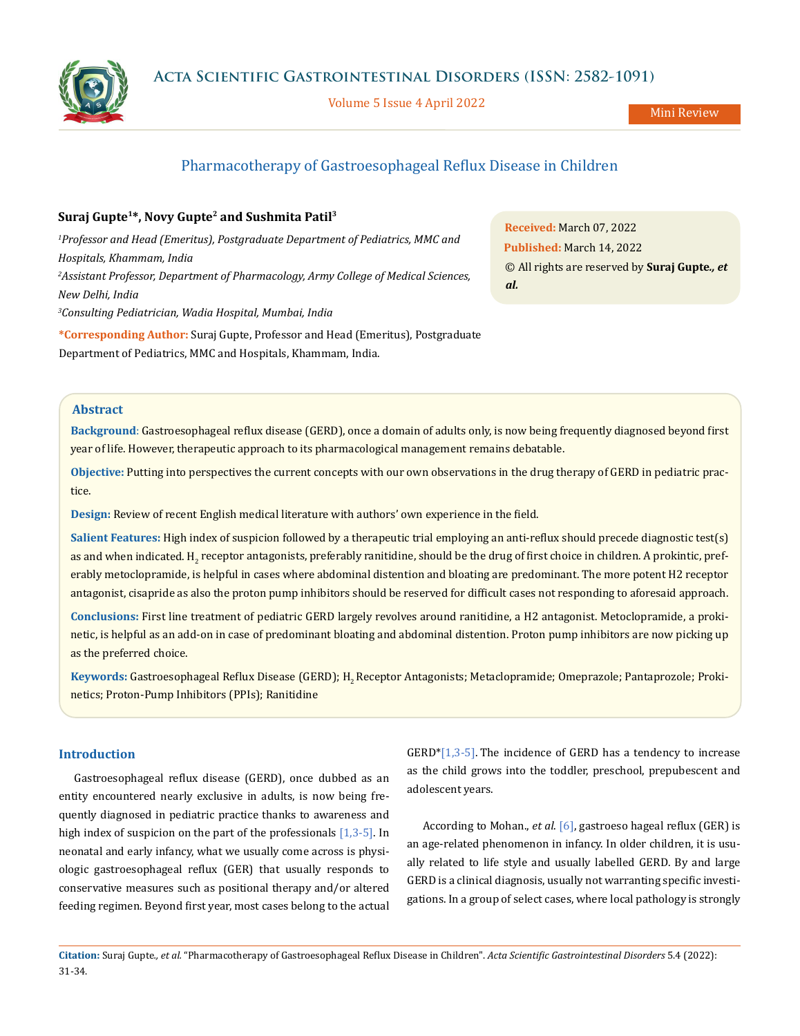

Volume 5 Issue 4 April 2022

Mini Review

# Pharmacotherapy of Gastroesophageal Reflux Disease in Children

## **Suraj Gupte1\*, Novy Gupte2 and Sushmita Patil3**

<sup>1</sup> Professor and Head (Emeritus), Postgraduate Department of Pediatrics, MMC and *Hospitals, Khammam, India 2 Assistant Professor, Department of Pharmacology, Army College of Medical Sciences, New Delhi, India*

*3 Consulting Pediatrician, Wadia Hospital, Mumbai, India*

**\*Corresponding Author:** Suraj Gupte, Professor and Head (Emeritus), Postgraduate Department of Pediatrics, MMC and Hospitals, Khammam, India.

**Received:** March 07, 2022 **Published:** March 14, 2022 © All rights are reserved by **Suraj Gupte***., et al.*

## **Abstract**

**Background**: Gastroesophageal reflux disease (GERD), once a domain of adults only, is now being frequently diagnosed beyond first year of life. However, therapeutic approach to its pharmacological management remains debatable.

**Objective:** Putting into perspectives the current concepts with our own observations in the drug therapy of GERD in pediatric practice.

**Design:** Review of recent English medical literature with authors' own experience in the field.

**Salient Features:** High index of suspicion followed by a therapeutic trial employing an anti-reflux should precede diagnostic test(s) as and when indicated. H<sub>2</sub> receptor antagonists, preferably ranitidine, should be the drug of first choice in children. A prokintic, preferably metoclopramide, is helpful in cases where abdominal distention and bloating are predominant. The more potent H2 receptor antagonist, cisapride as also the proton pump inhibitors should be reserved for difficult cases not responding to aforesaid approach.

**Conclusions:** First line treatment of pediatric GERD largely revolves around ranitidine, a H2 antagonist. Metoclopramide, a prokinetic, is helpful as an add-on in case of predominant bloating and abdominal distention. Proton pump inhibitors are now picking up as the preferred choice.

Keywords: Gastroesophageal Reflux Disease (GERD); H<sub>2</sub> Receptor Antagonists; Metaclopramide; Omeprazole; Pantaprozole; Prokinetics; Proton-Pump Inhibitors (PPIs); Ranitidine

## **Introduction**

Gastroesophageal reflux disease (GERD), once dubbed as an entity encountered nearly exclusive in adults, is now being frequently diagnosed in pediatric practice thanks to awareness and high index of suspicion on the part of the professionals [1,3-5]. In neonatal and early infancy, what we usually come across is physiologic gastroesophageal reflux (GER) that usually responds to conservative measures such as positional therapy and/or altered feeding regimen. Beyond first year, most cases belong to the actual  $GERD*[1,3-5]$ . The incidence of GERD has a tendency to increase as the child grows into the toddler, preschool, prepubescent and adolescent years.

According to Mohan., *et al*. [6], gastroeso hageal reflux (GER) is an age-related phenomenon in infancy. In older children, it is usually related to life style and usually labelled GERD. By and large GERD is a clinical diagnosis, usually not warranting specific investigations. In a group of select cases, where local pathology is strongly

**Citation:** Suraj Gupte*., et al.* "Pharmacotherapy of Gastroesophageal Reflux Disease in Children". *Acta Scientific Gastrointestinal Disorders* 5.4 (2022): 31-34.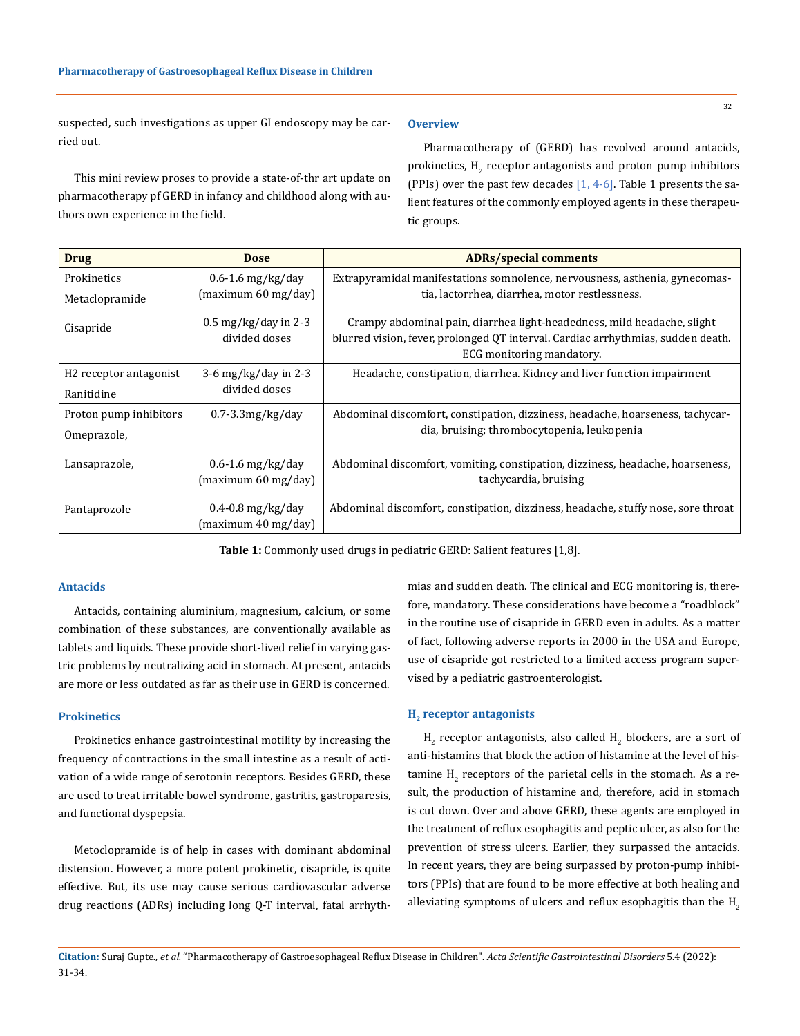suspected, such investigations as upper GI endoscopy may be carried out.

This mini review proses to provide a state-of-thr art update on pharmacotherapy pf GERD in infancy and childhood along with authors own experience in the field.

#### **Overview**

Pharmacotherapy of (GERD) has revolved around antacids, prokinetics,  $H_2$  receptor antagonists and proton pump inhibitors (PPIs) over the past few decades [1, 4-6]. Table 1 presents the salient features of the commonly employed agents in these therapeutic groups.

| <b>Drug</b>                        | <b>Dose</b>                                                 | <b>ADRs/special comments</b>                                                                                                                                                             |
|------------------------------------|-------------------------------------------------------------|------------------------------------------------------------------------------------------------------------------------------------------------------------------------------------------|
| Prokinetics                        | $0.6 - 1.6$ mg/kg/day                                       | Extrapyramidal manifestations somnolence, nervousness, asthenia, gynecomas-                                                                                                              |
| Metaclopramide                     | (maximum 60 mg/day)                                         | tia, lactorrhea, diarrhea, motor restlessness.                                                                                                                                           |
| Cisapride                          | $0.5 \,\mathrm{mg/kg}/\mathrm{day}$ in 2-3<br>divided doses | Crampy abdominal pain, diarrhea light-headedness, mild headache, slight<br>blurred vision, fever, prolonged QT interval. Cardiac arrhythmias, sudden death.<br>ECG monitoring mandatory. |
| H <sub>2</sub> receptor antagonist | 3-6 mg/kg/day in 2-3                                        | Headache, constipation, diarrhea. Kidney and liver function impairment                                                                                                                   |
| Ranitidine                         | divided doses                                               |                                                                                                                                                                                          |
| Proton pump inhibitors             | $0.7 - 3.3$ mg/kg/day                                       | Abdominal discomfort, constipation, dizziness, headache, hoarseness, tachycar-                                                                                                           |
| Omeprazole,                        |                                                             | dia, bruising; thrombocytopenia, leukopenia                                                                                                                                              |
| Lansaprazole,                      | $0.6 - 1.6$ mg/kg/day<br>(maximum 60 mg/day)                | Abdominal discomfort, vomiting, constipation, dizziness, headache, hoarseness,<br>tachycardia, bruising                                                                                  |
| Pantaprozole                       | $0.4 - 0.8$ mg/kg/day<br>(maximum 40 mg/day)                | Abdominal discomfort, constipation, dizziness, headache, stuffy nose, sore throat                                                                                                        |

**Table 1:** Commonly used drugs in pediatric GERD: Salient features [1,8].

### **Antacids**

Antacids, containing aluminium, magnesium, calcium, or some combination of these substances, are conventionally available as tablets and liquids. These provide short-lived relief in varying gastric problems by neutralizing acid in stomach. At present, antacids are more or less outdated as far as their use in GERD is concerned.

#### **Prokinetics**

Prokinetics enhance gastrointestinal motility by increasing the frequency of contractions in the small intestine as a result of activation of a wide range of serotonin receptors. Besides GERD, these are used to treat irritable bowel syndrome, gastritis, gastroparesis, and functional dyspepsia.

Metoclopramide is of help in cases with dominant abdominal distension. However, a more potent prokinetic, cisapride, is quite effective. But, its use may cause serious cardiovascular adverse drug reactions (ADRs) including long Q-T interval, fatal arrhythmias and sudden death. The clinical and ECG monitoring is, therefore, mandatory. These considerations have become a "roadblock" in the routine use of cisapride in GERD even in adults. As a matter of fact, following adverse reports in 2000 in the USA and Europe, use of cisapride got restricted to a limited access program supervised by a pediatric gastroenterologist.

#### **H<sub>2</sub>** receptor antagonists

 ${\tt H}_{\tiny 2}$  receptor antagonists, also called  ${\tt H}_{\tiny 2}$  blockers, are a sort of anti-histamins that block the action of histamine at the level of histamine  $H_2$  receptors of the parietal cells in the stomach. As a result, the production of histamine and, therefore, acid in stomach is cut down. Over and above GERD, these agents are employed in the treatment of reflux esophagitis and peptic ulcer, as also for the prevention of stress ulcers. Earlier, they surpassed the antacids. In recent years, they are being surpassed by proton-pump inhibitors (PPIs) that are found to be more effective at both healing and alleviating symptoms of ulcers and reflux esophagitis than the  $H_2$ 

32

**Citation:** Suraj Gupte*., et al.* "Pharmacotherapy of Gastroesophageal Reflux Disease in Children". *Acta Scientific Gastrointestinal Disorders* 5.4 (2022): 31-34.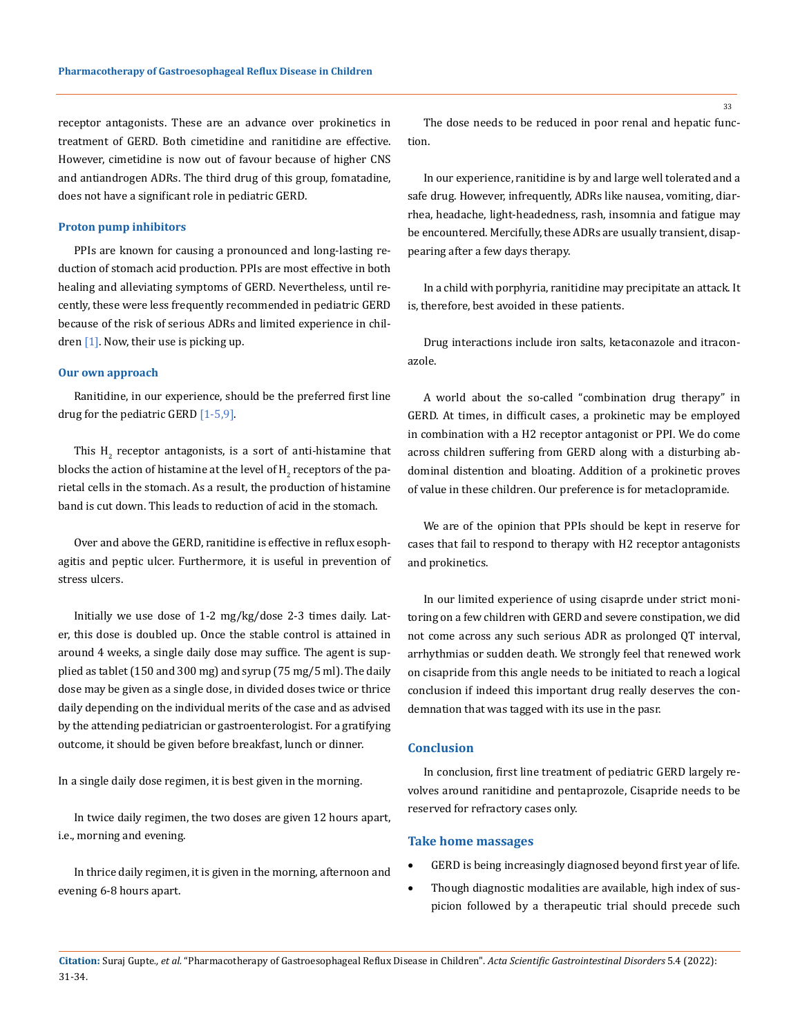receptor antagonists. These are an advance over prokinetics in treatment of GERD. Both cimetidine and ranitidine are effective. However, cimetidine is now out of favour because of higher CNS and antiandrogen ADRs. The third drug of this group, fomatadine, does not have a significant role in pediatric GERD.

#### **Proton pump inhibitors**

PPIs are known for causing a pronounced and long-lasting reduction of stomach acid production. PPIs are most effective in both healing and alleviating symptoms of GERD. Nevertheless, until recently, these were less frequently recommended in pediatric GERD because of the risk of serious ADRs and limited experience in children  $[1]$ . Now, their use is picking up.

### **Our own approach**

Ranitidine, in our experience, should be the preferred first line drug for the pediatric GERD  $[1-5,9]$ .

This  $H_2$  receptor antagonists, is a sort of anti-histamine that blocks the action of histamine at the level of  $\mathtt{H}_2$  receptors of the parietal cells in the stomach. As a result, the production of histamine band is cut down. This leads to reduction of acid in the stomach.

Over and above the GERD, ranitidine is effective in reflux esophagitis and peptic ulcer. Furthermore, it is useful in prevention of stress ulcers.

Initially we use dose of 1-2 mg/kg/dose 2-3 times daily. Later, this dose is doubled up. Once the stable control is attained in around 4 weeks, a single daily dose may suffice. The agent is supplied as tablet (150 and 300 mg) and syrup (75 mg/5 ml). The daily dose may be given as a single dose, in divided doses twice or thrice daily depending on the individual merits of the case and as advised by the attending pediatrician or gastroenterologist. For a gratifying outcome, it should be given before breakfast, lunch or dinner.

In a single daily dose regimen, it is best given in the morning.

In twice daily regimen, the two doses are given 12 hours apart, i.e., morning and evening.

In thrice daily regimen, it is given in the morning, afternoon and evening 6-8 hours apart.

The dose needs to be reduced in poor renal and hepatic function.

In our experience, ranitidine is by and large well tolerated and a safe drug. However, infrequently, ADRs like nausea, vomiting, diarrhea, headache, light-headedness, rash, insomnia and fatigue may be encountered. Mercifully, these ADRs are usually transient, disappearing after a few days therapy.

In a child with porphyria, ranitidine may precipitate an attack. It is, therefore, best avoided in these patients.

Drug interactions include iron salts, ketaconazole and itraconazole.

A world about the so-called "combination drug therapy" in GERD. At times, in difficult cases, a prokinetic may be employed in combination with a H2 receptor antagonist or PPI. We do come across children suffering from GERD along with a disturbing abdominal distention and bloating. Addition of a prokinetic proves of value in these children. Our preference is for metaclopramide.

We are of the opinion that PPIs should be kept in reserve for cases that fail to respond to therapy with H2 receptor antagonists and prokinetics.

In our limited experience of using cisaprde under strict monitoring on a few children with GERD and severe constipation, we did not come across any such serious ADR as prolonged QT interval, arrhythmias or sudden death. We strongly feel that renewed work on cisapride from this angle needs to be initiated to reach a logical conclusion if indeed this important drug really deserves the condemnation that was tagged with its use in the pasr.

## **Conclusion**

In conclusion, first line treatment of pediatric GERD largely revolves around ranitidine and pentaprozole, Cisapride needs to be reserved for refractory cases only.

## **Take home massages**

- GERD is being increasingly diagnosed beyond first year of life.
- Though diagnostic modalities are available, high index of suspicion followed by a therapeutic trial should precede such

**Citation:** Suraj Gupte*., et al.* "Pharmacotherapy of Gastroesophageal Reflux Disease in Children". *Acta Scientific Gastrointestinal Disorders* 5.4 (2022): 31-34.

33